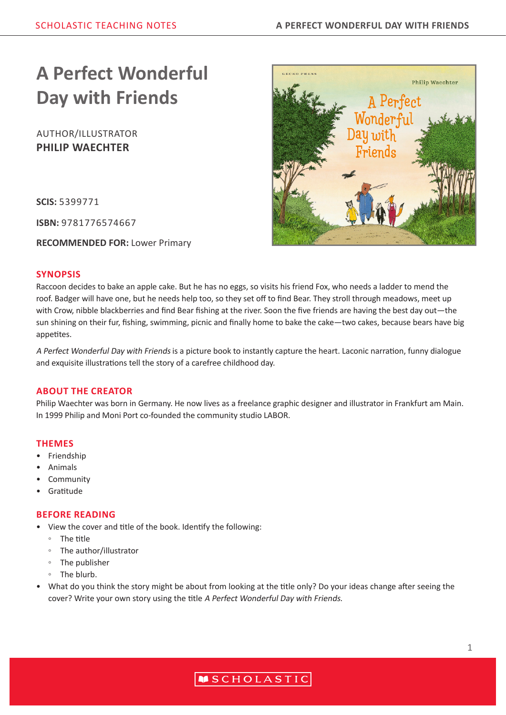# **A Perfect Wonderful Day with Friends**

AUTHOR/ILLUSTRATOR **PHILIP WAECHTER**

**SCIS:** 5399771

**ISBN:** 9781776574667

**RECOMMENDED FOR:** Lower Primary



Raccoon decides to bake an apple cake. But he has no eggs, so visits his friend Fox, who needs a ladder to mend the roof. Badger will have one, but he needs help too, so they set off to find Bear. They stroll through meadows, meet up with Crow, nibble blackberries and find Bear fishing at the river. Soon the five friends are having the best day out—the sun shining on their fur, fishing, swimming, picnic and finally home to bake the cake—two cakes, because bears have big appetites.

A Perfect Wonderful Day with Friends is a picture book to instantly capture the heart. Laconic narration, funny dialogue and exquisite illustrations tell the story of a carefree childhood day.

### **ABOUT THE CREATOR**

Philip Waechter was born in Germany. He now lives as a freelance graphic designer and illustrator in Frankfurt am Main. In 1999 Philip and Moni Port co-founded the community studio LABOR.

#### **THEMES**

- **Friendship**
- Animals
- Community
- Gratitude

### **BEFORE READING**

- View the cover and title of the book. Identify the following:
	- The title
	- The author/illustrator
	- The publisher
	- The blurb.
- What do you think the story might be about from looking at the title only? Do your ideas change after seeing the cover? Write your own story using the title A Perfect Wonderful Day with Friends.



# **MSCHOLASTIC**